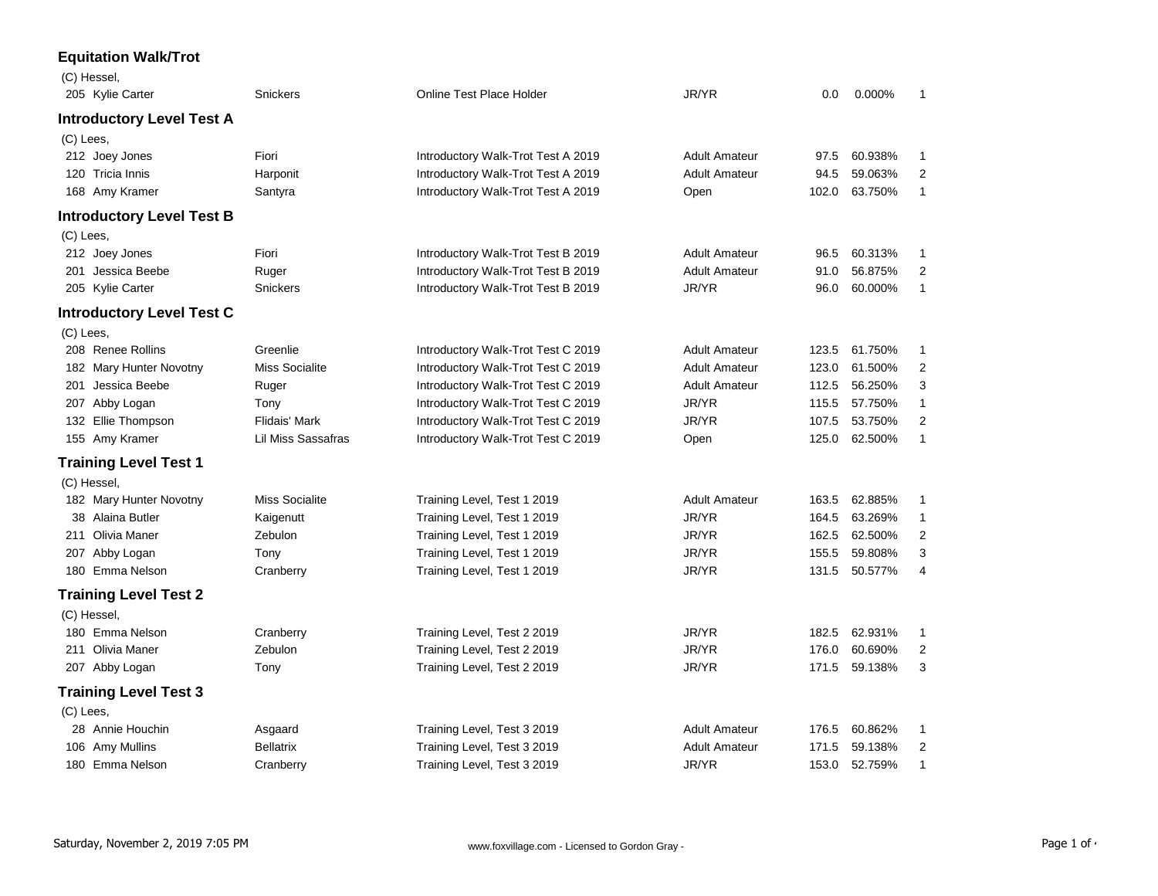## **Equitation Walk/Trot**

| (C) Hessel,                      |                           |                                    |                      |       |         |                |
|----------------------------------|---------------------------|------------------------------------|----------------------|-------|---------|----------------|
| 205 Kylie Carter                 | <b>Snickers</b>           | <b>Online Test Place Holder</b>    | JR/YR                | 0.0   | 0.000%  | 1              |
| <b>Introductory Level Test A</b> |                           |                                    |                      |       |         |                |
| (C) Lees,                        |                           |                                    |                      |       |         |                |
| 212 Joey Jones                   | Fiori                     | Introductory Walk-Trot Test A 2019 | <b>Adult Amateur</b> | 97.5  | 60.938% | 1              |
| 120 Tricia Innis                 | Harponit                  | Introductory Walk-Trot Test A 2019 | <b>Adult Amateur</b> | 94.5  | 59.063% | $\overline{2}$ |
| 168 Amy Kramer                   | Santyra                   | Introductory Walk-Trot Test A 2019 | Open                 | 102.0 | 63.750% | $\mathbf{1}$   |
| <b>Introductory Level Test B</b> |                           |                                    |                      |       |         |                |
| (C) Lees,                        |                           |                                    |                      |       |         |                |
| 212 Joey Jones                   | Fiori                     | Introductory Walk-Trot Test B 2019 | <b>Adult Amateur</b> | 96.5  | 60.313% | $\mathbf{1}$   |
| 201 Jessica Beebe                | Ruger                     | Introductory Walk-Trot Test B 2019 | <b>Adult Amateur</b> | 91.0  | 56.875% | 2              |
| 205 Kylie Carter                 | <b>Snickers</b>           | Introductory Walk-Trot Test B 2019 | JR/YR                | 96.0  | 60.000% | $\mathbf{1}$   |
| <b>Introductory Level Test C</b> |                           |                                    |                      |       |         |                |
| (C) Lees,                        |                           |                                    |                      |       |         |                |
| 208 Renee Rollins                | Greenlie                  | Introductory Walk-Trot Test C 2019 | <b>Adult Amateur</b> | 123.5 | 61.750% | $\mathbf{1}$   |
| 182 Mary Hunter Novotny          | <b>Miss Socialite</b>     | Introductory Walk-Trot Test C 2019 | <b>Adult Amateur</b> | 123.0 | 61.500% | $\overline{2}$ |
| 201 Jessica Beebe                | Ruger                     | Introductory Walk-Trot Test C 2019 | <b>Adult Amateur</b> | 112.5 | 56.250% | 3              |
| 207 Abby Logan                   | Tony                      | Introductory Walk-Trot Test C 2019 | JR/YR                | 115.5 | 57.750% | $\mathbf{1}$   |
| 132 Ellie Thompson               | Flidais' Mark             | Introductory Walk-Trot Test C 2019 | JR/YR                | 107.5 | 53.750% | 2              |
| 155 Amy Kramer                   | <b>Lil Miss Sassafras</b> | Introductory Walk-Trot Test C 2019 | Open                 | 125.0 | 62.500% | $\mathbf{1}$   |
| <b>Training Level Test 1</b>     |                           |                                    |                      |       |         |                |
| (C) Hessel,                      |                           |                                    |                      |       |         |                |
| 182 Mary Hunter Novotny          | <b>Miss Socialite</b>     | Training Level, Test 1 2019        | <b>Adult Amateur</b> | 163.5 | 62.885% | 1              |
| 38 Alaina Butler                 | Kaigenutt                 | Training Level, Test 1 2019        | JR/YR                | 164.5 | 63.269% | $\mathbf{1}$   |
| 211 Olivia Maner                 | Zebulon                   | Training Level, Test 1 2019        | JR/YR                | 162.5 | 62.500% | $\overline{2}$ |
| 207 Abby Logan                   | Tony                      | Training Level, Test 1 2019        | JR/YR                | 155.5 | 59.808% | 3              |
| 180 Emma Nelson                  | Cranberry                 | Training Level, Test 1 2019        | JR/YR                | 131.5 | 50.577% | 4              |
| <b>Training Level Test 2</b>     |                           |                                    |                      |       |         |                |
| (C) Hessel,                      |                           |                                    |                      |       |         |                |
| 180 Emma Nelson                  | Cranberry                 | Training Level, Test 2 2019        | JR/YR                | 182.5 | 62.931% | $\mathbf 1$    |
| 211 Olivia Maner                 | Zebulon                   | Training Level, Test 2 2019        | JR/YR                | 176.0 | 60.690% | $\overline{2}$ |
| 207 Abby Logan                   | Tony                      | Training Level, Test 2 2019        | JR/YR                | 171.5 | 59.138% | 3              |
| <b>Training Level Test 3</b>     |                           |                                    |                      |       |         |                |
| (C) Lees,                        |                           |                                    |                      |       |         |                |
| 28 Annie Houchin                 | Asgaard                   | Training Level, Test 3 2019        | <b>Adult Amateur</b> | 176.5 | 60.862% | $\mathbf{1}$   |
| 106 Amy Mullins                  | <b>Bellatrix</b>          | Training Level, Test 3 2019        | <b>Adult Amateur</b> | 171.5 | 59.138% | $\overline{2}$ |
| 180 Emma Nelson                  | Cranberry                 | Training Level, Test 3 2019        | JR/YR                | 153.0 | 52.759% | $\mathbf{1}$   |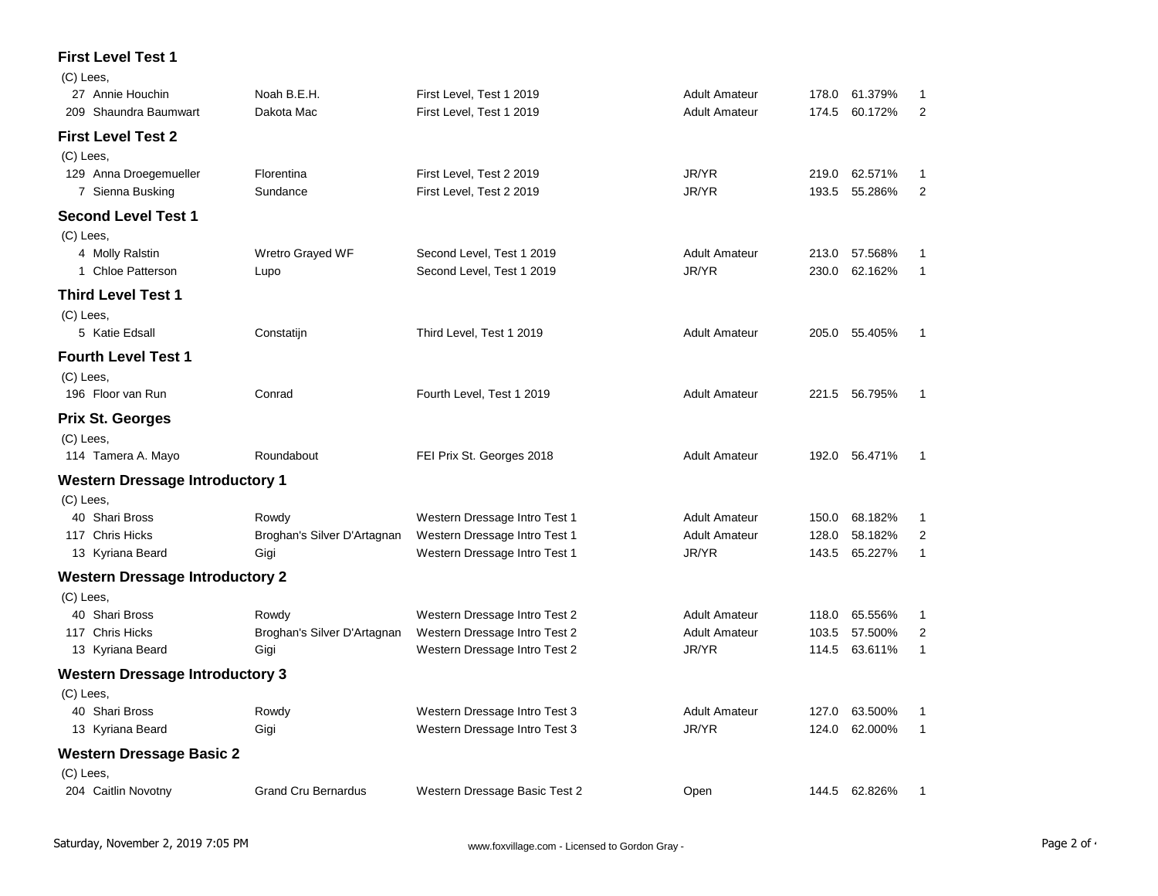## **First Level Test 1**  $\sqrt{C}$

| (C) Lees,                              |                             |                               |                      |       |               |                |
|----------------------------------------|-----------------------------|-------------------------------|----------------------|-------|---------------|----------------|
| 27 Annie Houchin                       | Noah B.E.H.                 | First Level, Test 1 2019      | <b>Adult Amateur</b> | 178.0 | 61.379%       | 1              |
| 209 Shaundra Baumwart                  | Dakota Mac                  | First Level, Test 1 2019      | <b>Adult Amateur</b> | 174.5 | 60.172%       | $\overline{2}$ |
| <b>First Level Test 2</b>              |                             |                               |                      |       |               |                |
| (C) Lees,                              |                             |                               |                      |       |               |                |
| 129 Anna Droegemueller                 | Florentina                  | First Level, Test 2 2019      | JR/YR                | 219.0 | 62.571%       | 1              |
| 7 Sienna Busking                       | Sundance                    | First Level, Test 2 2019      | JR/YR                | 193.5 | 55.286%       | $\overline{2}$ |
| <b>Second Level Test 1</b>             |                             |                               |                      |       |               |                |
| $(C)$ Lees,                            |                             |                               |                      |       |               |                |
| 4 Molly Ralstin                        | Wretro Grayed WF            | Second Level, Test 1 2019     | <b>Adult Amateur</b> | 213.0 | 57.568%       | 1              |
| 1 Chloe Patterson                      | Lupo                        | Second Level, Test 1 2019     | JR/YR                | 230.0 | 62.162%       | $\mathbf{1}$   |
| <b>Third Level Test 1</b>              |                             |                               |                      |       |               |                |
| (C) Lees,                              |                             |                               |                      |       |               |                |
| 5 Katie Edsall                         | Constatijn                  | Third Level, Test 1 2019      | <b>Adult Amateur</b> | 205.0 | 55.405%       | 1              |
| <b>Fourth Level Test 1</b>             |                             |                               |                      |       |               |                |
| (C) Lees,                              |                             |                               |                      |       |               |                |
| 196 Floor van Run                      | Conrad                      | Fourth Level, Test 1 2019     | <b>Adult Amateur</b> |       | 221.5 56.795% | $\mathbf{1}$   |
| <b>Prix St. Georges</b>                |                             |                               |                      |       |               |                |
| (C) Lees,                              |                             |                               |                      |       |               |                |
| 114 Tamera A. Mayo                     | Roundabout                  | FEI Prix St. Georges 2018     | <b>Adult Amateur</b> | 192.0 | 56.471%       | -1             |
| <b>Western Dressage Introductory 1</b> |                             |                               |                      |       |               |                |
| (C) Lees,                              |                             |                               |                      |       |               |                |
| 40 Shari Bross                         | Rowdy                       | Western Dressage Intro Test 1 | <b>Adult Amateur</b> | 150.0 | 68.182%       | 1              |
| 117 Chris Hicks                        | Broghan's Silver D'Artagnan | Western Dressage Intro Test 1 | <b>Adult Amateur</b> | 128.0 | 58.182%       | $\overline{2}$ |
| 13 Kyriana Beard                       | Gigi                        | Western Dressage Intro Test 1 | JR/YR                | 143.5 | 65.227%       | $\mathbf{1}$   |
| <b>Western Dressage Introductory 2</b> |                             |                               |                      |       |               |                |
| (C) Lees,                              |                             |                               |                      |       |               |                |
| 40 Shari Bross                         | Rowdy                       | Western Dressage Intro Test 2 | <b>Adult Amateur</b> | 118.0 | 65.556%       | 1              |
| 117 Chris Hicks                        | Broghan's Silver D'Artagnan | Western Dressage Intro Test 2 | <b>Adult Amateur</b> | 103.5 | 57.500%       | $\overline{2}$ |
| 13 Kyriana Beard                       | Gigi                        | Western Dressage Intro Test 2 | JR/YR                | 114.5 | 63.611%       | 1              |
| <b>Western Dressage Introductory 3</b> |                             |                               |                      |       |               |                |
| (C) Lees,                              |                             |                               |                      |       |               |                |
| 40 Shari Bross                         | Rowdy                       | Western Dressage Intro Test 3 | <b>Adult Amateur</b> | 127.0 | 63.500%       | 1              |
| 13 Kyriana Beard                       | Gigi                        | Western Dressage Intro Test 3 | JR/YR                | 124.0 | 62.000%       | $\mathbf{1}$   |
| <b>Western Dressage Basic 2</b>        |                             |                               |                      |       |               |                |
| (C) Lees,                              |                             |                               |                      |       |               |                |
| 204 Caitlin Novotny                    | <b>Grand Cru Bernardus</b>  | Western Dressage Basic Test 2 | Open                 |       | 144.5 62.826% | 1              |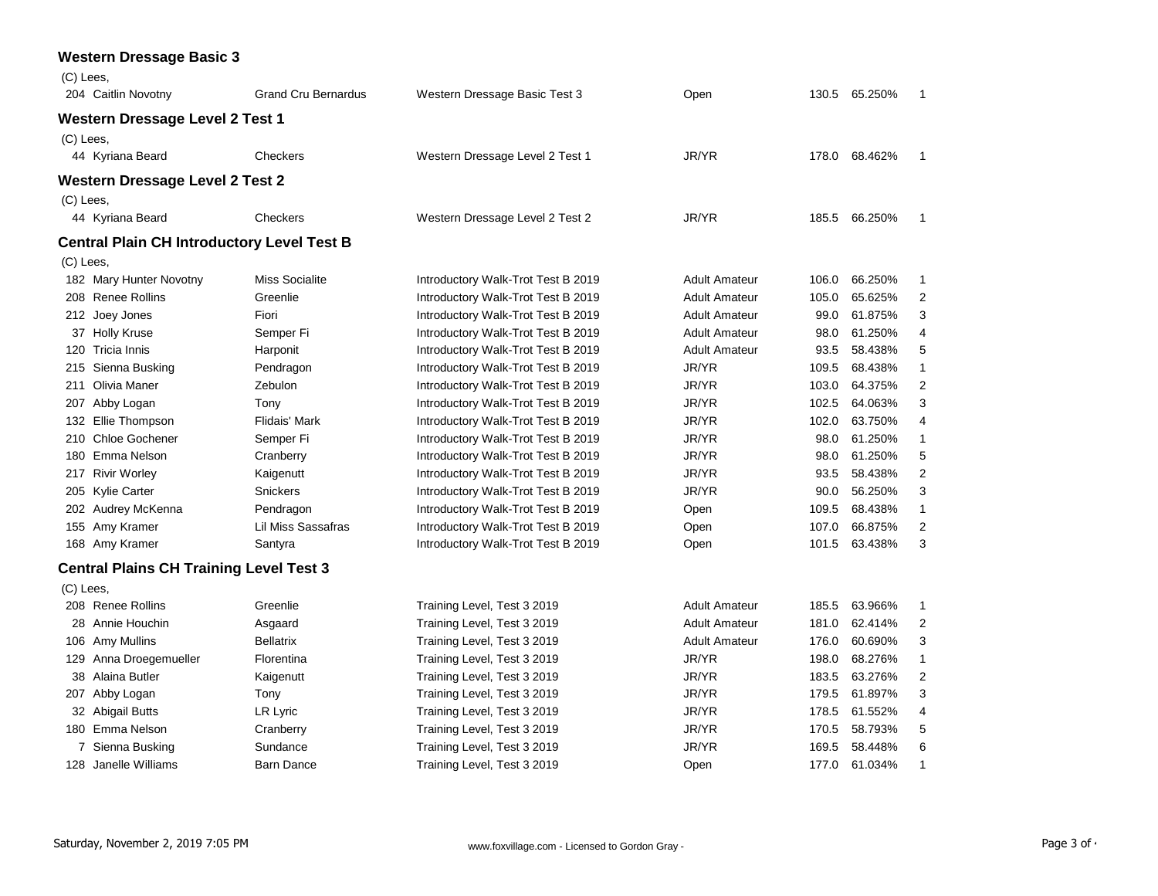|             | <b>Western Dressage Basic 3</b>                   |                            |                                    |                      |       |         |                |
|-------------|---------------------------------------------------|----------------------------|------------------------------------|----------------------|-------|---------|----------------|
| (C) Lees,   |                                                   |                            |                                    |                      |       |         |                |
|             | 204 Caitlin Novotny                               | <b>Grand Cru Bernardus</b> | Western Dressage Basic Test 3      | Open                 | 130.5 | 65.250% | $\mathbf{1}$   |
|             | <b>Western Dressage Level 2 Test 1</b>            |                            |                                    |                      |       |         |                |
| $(C)$ Lees, |                                                   |                            |                                    |                      |       |         |                |
|             | 44 Kyriana Beard                                  | Checkers                   | Western Dressage Level 2 Test 1    | JR/YR                | 178.0 | 68.462% | $\mathbf{1}$   |
|             | <b>Western Dressage Level 2 Test 2</b>            |                            |                                    |                      |       |         |                |
| (C) Lees,   |                                                   |                            |                                    |                      |       |         |                |
|             | 44 Kyriana Beard                                  | Checkers                   | Western Dressage Level 2 Test 2    | JR/YR                | 185.5 | 66.250% | $\mathbf{1}$   |
|             | <b>Central Plain CH Introductory Level Test B</b> |                            |                                    |                      |       |         |                |
| (C) Lees,   |                                                   |                            |                                    |                      |       |         |                |
|             | 182 Mary Hunter Novotny                           | <b>Miss Socialite</b>      | Introductory Walk-Trot Test B 2019 | <b>Adult Amateur</b> | 106.0 | 66.250% | 1              |
|             | 208 Renee Rollins                                 | Greenlie                   | Introductory Walk-Trot Test B 2019 | <b>Adult Amateur</b> | 105.0 | 65.625% | $\overline{2}$ |
|             | 212 Joey Jones                                    | Fiori                      | Introductory Walk-Trot Test B 2019 | <b>Adult Amateur</b> | 99.0  | 61.875% | 3              |
|             | 37 Holly Kruse                                    | Semper Fi                  | Introductory Walk-Trot Test B 2019 | <b>Adult Amateur</b> | 98.0  | 61.250% | 4              |
|             | 120 Tricia Innis                                  | Harponit                   | Introductory Walk-Trot Test B 2019 | <b>Adult Amateur</b> | 93.5  | 58.438% | 5              |
| 215         | Sienna Busking                                    | Pendragon                  | Introductory Walk-Trot Test B 2019 | JR/YR                | 109.5 | 68.438% | 1              |
| 211         | Olivia Maner                                      | Zebulon                    | Introductory Walk-Trot Test B 2019 | JR/YR                | 103.0 | 64.375% | 2              |
|             | 207 Abby Logan                                    | Tony                       | Introductory Walk-Trot Test B 2019 | JR/YR                | 102.5 | 64.063% | 3              |
|             | 132 Ellie Thompson                                | Flidais' Mark              | Introductory Walk-Trot Test B 2019 | JR/YR                | 102.0 | 63.750% | 4              |
| 210         | <b>Chloe Gochener</b>                             | Semper Fi                  | Introductory Walk-Trot Test B 2019 | JR/YR                | 98.0  | 61.250% | 1              |
| 180         | Emma Nelson                                       | Cranberry                  | Introductory Walk-Trot Test B 2019 | JR/YR                | 98.0  | 61.250% | 5              |
| 217         | <b>Rivir Worley</b>                               | Kaigenutt                  | Introductory Walk-Trot Test B 2019 | JR/YR                | 93.5  | 58.438% | $\overline{2}$ |
|             | 205 Kylie Carter                                  | <b>Snickers</b>            | Introductory Walk-Trot Test B 2019 | JR/YR                | 90.0  | 56.250% | 3              |
|             | 202 Audrey McKenna                                | Pendragon                  | Introductory Walk-Trot Test B 2019 | Open                 | 109.5 | 68.438% | 1              |
| 155         | Amy Kramer                                        | <b>Lil Miss Sassafras</b>  | Introductory Walk-Trot Test B 2019 | Open                 | 107.0 | 66.875% | $\overline{2}$ |
|             | 168 Amy Kramer                                    | Santyra                    | Introductory Walk-Trot Test B 2019 | Open                 | 101.5 | 63.438% | 3              |
|             | <b>Central Plains CH Training Level Test 3</b>    |                            |                                    |                      |       |         |                |
| $(C)$ Lees, |                                                   |                            |                                    |                      |       |         |                |
|             | 208 Renee Rollins                                 | Greenlie                   | Training Level, Test 3 2019        | <b>Adult Amateur</b> | 185.5 | 63.966% | 1              |
| 28          | Annie Houchin                                     | Asgaard                    | Training Level, Test 3 2019        | <b>Adult Amateur</b> | 181.0 | 62.414% | 2              |
| 106         | Amy Mullins                                       | <b>Bellatrix</b>           | Training Level, Test 3 2019        | <b>Adult Amateur</b> | 176.0 | 60.690% | 3              |
| 129         | Anna Droegemueller                                | Florentina                 | Training Level, Test 3 2019        | JR/YR                | 198.0 | 68.276% | 1              |
| 38          | Alaina Butler                                     | Kaigenutt                  | Training Level, Test 3 2019        | JR/YR                | 183.5 | 63.276% | 2              |
|             | 207 Abby Logan                                    | Tony                       | Training Level, Test 3 2019        | JR/YR                | 179.5 | 61.897% | 3              |
|             | 32 Abigail Butts                                  | LR Lyric                   | Training Level, Test 3 2019        | JR/YR                | 178.5 | 61.552% | 4              |
|             | 180 Emma Nelson                                   | Cranberry                  | Training Level, Test 3 2019        | JR/YR                | 170.5 | 58.793% | 5              |
|             | 7 Sienna Busking                                  | Sundance                   | Training Level, Test 3 2019        | JR/YR                | 169.5 | 58.448% | 6              |
|             | 128 Janelle Williams                              | <b>Barn Dance</b>          | Training Level, Test 3 2019        | Open                 | 177.0 | 61.034% | 1              |